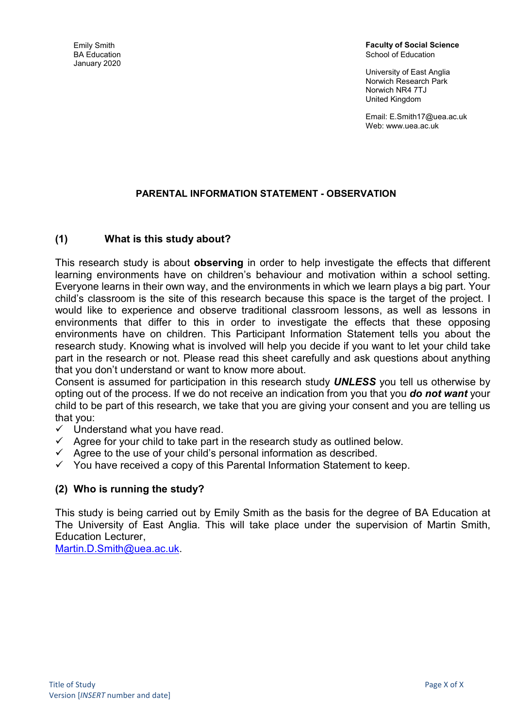Emily Smith BA Education January 2020 Faculty of Social Science School of Education

University of East Anglia Norwich Research Park Norwich NR4 7TJ United Kingdom

Email: E.Smith17@uea.ac.uk Web: www.uea.ac.uk

#### PARENTAL INFORMATION STATEMENT - OBSERVATION

#### (1) What is this study about?

This research study is about **observing** in order to help investigate the effects that different learning environments have on children's behaviour and motivation within a school setting. Everyone learns in their own way, and the environments in which we learn plays a big part. Your child's classroom is the site of this research because this space is the target of the project. I would like to experience and observe traditional classroom lessons, as well as lessons in environments that differ to this in order to investigate the effects that these opposing environments have on children. This Participant Information Statement tells you about the research study. Knowing what is involved will help you decide if you want to let your child take part in the research or not. Please read this sheet carefully and ask questions about anything that you don't understand or want to know more about.

Consent is assumed for participation in this research study **UNLESS** you tell us otherwise by opting out of the process. If we do not receive an indication from you that you do not want your child to be part of this research, we take that you are giving your consent and you are telling us that you:

- $\checkmark$  Understand what you have read.
- $\checkmark$  Agree for your child to take part in the research study as outlined below.
- $\checkmark$  Agree to the use of your child's personal information as described.
- $\checkmark$  You have received a copy of this Parental Information Statement to keep.

#### (2) Who is running the study?

This study is being carried out by Emily Smith as the basis for the degree of BA Education at The University of East Anglia. This will take place under the supervision of Martin Smith, Education Lecturer,

Martin.D.Smith@uea.ac.uk.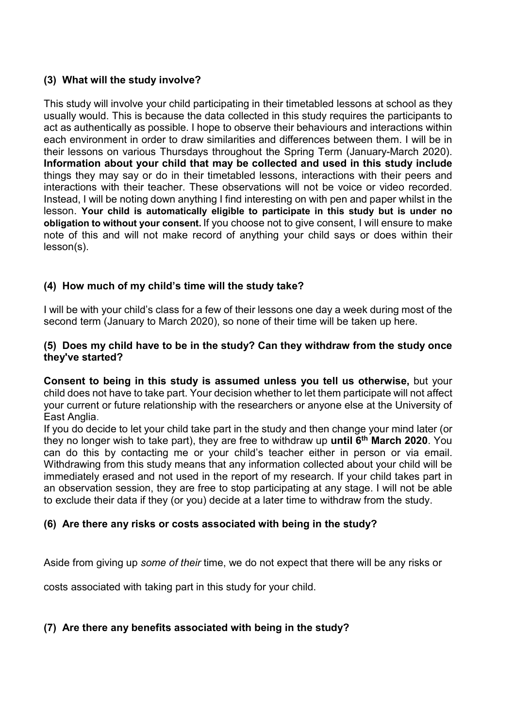# (3) What will the study involve?

This study will involve your child participating in their timetabled lessons at school as they usually would. This is because the data collected in this study requires the participants to act as authentically as possible. I hope to observe their behaviours and interactions within each environment in order to draw similarities and differences between them. I will be in their lessons on various Thursdays throughout the Spring Term (January-March 2020). Information about your child that may be collected and used in this study include things they may say or do in their timetabled lessons, interactions with their peers and interactions with their teacher. These observations will not be voice or video recorded. Instead, I will be noting down anything I find interesting on with pen and paper whilst in the lesson. Your child is automatically eligible to participate in this study but is under no obligation to without your consent. If you choose not to give consent, I will ensure to make note of this and will not make record of anything your child says or does within their lesson(s).

# (4) How much of my child's time will the study take?

I will be with your child's class for a few of their lessons one day a week during most of the second term (January to March 2020), so none of their time will be taken up here.

#### (5) Does my child have to be in the study? Can they withdraw from the study once they've started?

Consent to being in this study is assumed unless you tell us otherwise, but your child does not have to take part. Your decision whether to let them participate will not affect your current or future relationship with the researchers or anyone else at the University of East Anglia.

If you do decide to let your child take part in the study and then change your mind later (or they no longer wish to take part), they are free to withdraw up **until 6<sup>th</sup> March 2020**. You can do this by contacting me or your child's teacher either in person or via email. Withdrawing from this study means that any information collected about your child will be immediately erased and not used in the report of my research. If your child takes part in an observation session, they are free to stop participating at any stage. I will not be able to exclude their data if they (or you) decide at a later time to withdraw from the study.

#### (6) Are there any risks or costs associated with being in the study?

Aside from giving up some of their time, we do not expect that there will be any risks or

costs associated with taking part in this study for your child.

# (7) Are there any benefits associated with being in the study?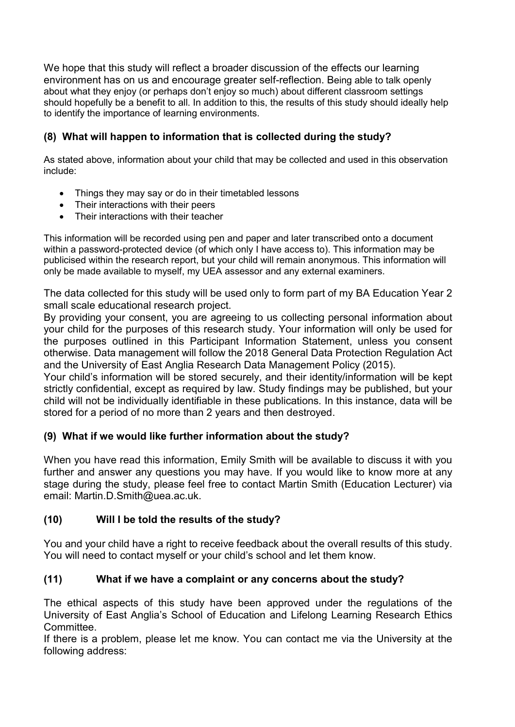We hope that this study will reflect a broader discussion of the effects our learning environment has on us and encourage greater self-reflection. Being able to talk openly about what they enjoy (or perhaps don't enjoy so much) about different classroom settings should hopefully be a benefit to all. In addition to this, the results of this study should ideally help to identify the importance of learning environments.

# (8) What will happen to information that is collected during the study?

As stated above, information about your child that may be collected and used in this observation include:

- Things they may say or do in their timetabled lessons
- Their interactions with their peers
- Their interactions with their teacher

This information will be recorded using pen and paper and later transcribed onto a document within a password-protected device (of which only I have access to). This information may be publicised within the research report, but your child will remain anonymous. This information will only be made available to myself, my UEA assessor and any external examiners.

The data collected for this study will be used only to form part of my BA Education Year 2 small scale educational research project.

By providing your consent, you are agreeing to us collecting personal information about your child for the purposes of this research study. Your information will only be used for the purposes outlined in this Participant Information Statement, unless you consent otherwise. Data management will follow the 2018 General Data Protection Regulation Act and the University of East Anglia Research Data Management Policy (2015).

Your child's information will be stored securely, and their identity/information will be kept strictly confidential, except as required by law. Study findings may be published, but your child will not be individually identifiable in these publications. In this instance, data will be stored for a period of no more than 2 years and then destroyed.

# (9) What if we would like further information about the study?

When you have read this information, Emily Smith will be available to discuss it with you further and answer any questions you may have. If you would like to know more at any stage during the study, please feel free to contact Martin Smith (Education Lecturer) via email: Martin.D.Smith@uea.ac.uk.

# (10) Will I be told the results of the study?

You and your child have a right to receive feedback about the overall results of this study. You will need to contact myself or your child's school and let them know.

# (11) What if we have a complaint or any concerns about the study?

The ethical aspects of this study have been approved under the regulations of the University of East Anglia's School of Education and Lifelong Learning Research Ethics Committee.

If there is a problem, please let me know. You can contact me via the University at the following address: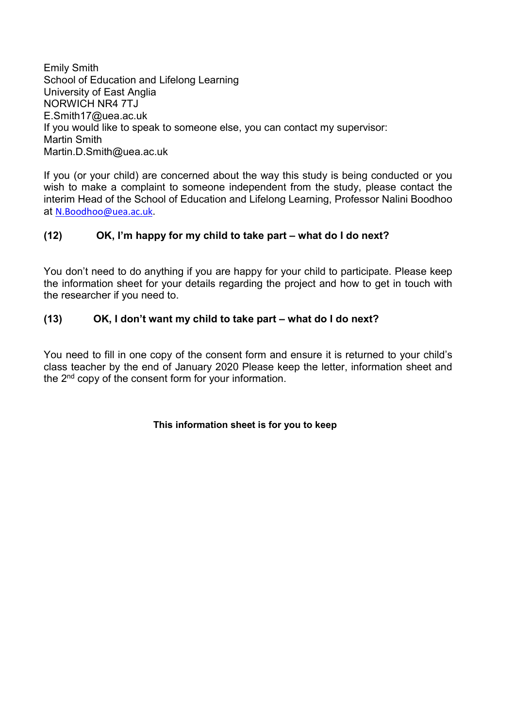Emily Smith School of Education and Lifelong Learning University of East Anglia NORWICH NR4 7TJ E.Smith17@uea.ac.uk If you would like to speak to someone else, you can contact my supervisor: Martin Smith Martin.D.Smith@uea.ac.uk

If you (or your child) are concerned about the way this study is being conducted or you wish to make a complaint to someone independent from the study, please contact the interim Head of the School of Education and Lifelong Learning, Professor Nalini Boodhoo at N.Boodhoo@uea.ac.uk.

# (12) OK, I'm happy for my child to take part – what do I do next?

You don't need to do anything if you are happy for your child to participate. Please keep the information sheet for your details regarding the project and how to get in touch with the researcher if you need to.

#### (13) OK, I don't want my child to take part – what do I do next?

You need to fill in one copy of the consent form and ensure it is returned to your child's class teacher by the end of January 2020 Please keep the letter, information sheet and the 2<sup>nd</sup> copy of the consent form for your information.

#### This information sheet is for you to keep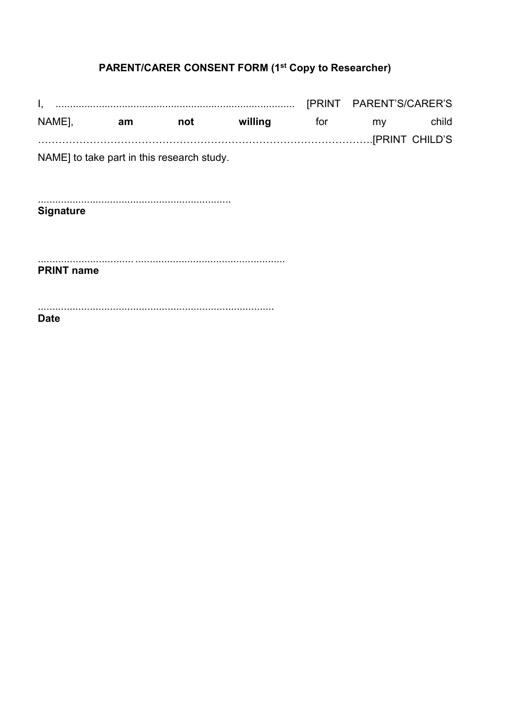# **PARENT/CARER CONSENT FORM (1st Copy to Researcher)**

NAME], willing not **Exercise Strute** for am my child NAME] to take part in this research study. **Signature PRINT name Date**